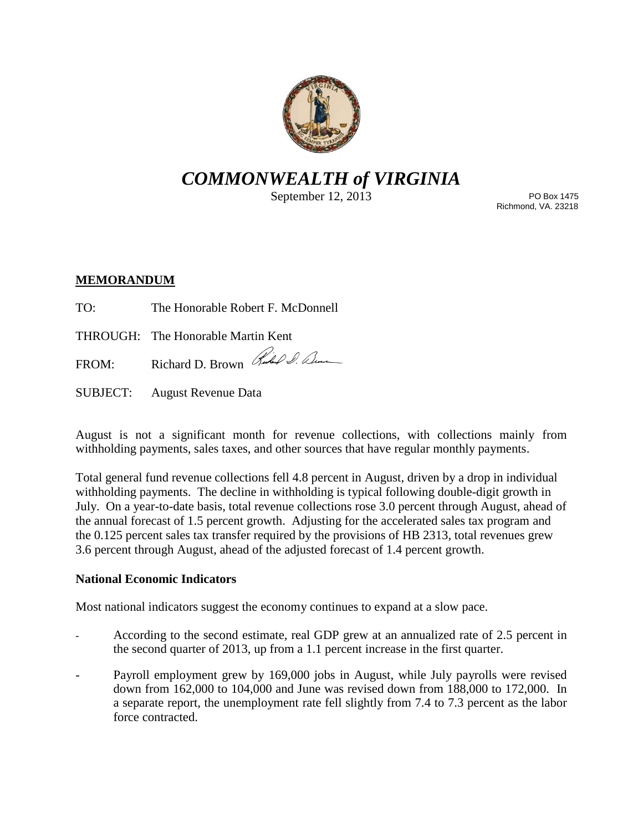

# *COMMONWEALTH of VIRGINIA*

September 12, 2013

PO Box 1475 Richmond, VA. 23218

## **MEMORANDUM**

- TO: The Honorable Robert F. McDonnell
- THROUGH: The Honorable Martin Kent
- FROM: Richard D. Brown Ruchel S. Denne
- SUBJECT: August Revenue Data

August is not a significant month for revenue collections, with collections mainly from withholding payments, sales taxes, and other sources that have regular monthly payments.

Total general fund revenue collections fell 4.8 percent in August, driven by a drop in individual withholding payments. The decline in withholding is typical following double-digit growth in July. On a year-to-date basis, total revenue collections rose 3.0 percent through August, ahead of the annual forecast of 1.5 percent growth. Adjusting for the accelerated sales tax program and the 0.125 percent sales tax transfer required by the provisions of HB 2313, total revenues grew 3.6 percent through August, ahead of the adjusted forecast of 1.4 percent growth.

### **National Economic Indicators**

Most national indicators suggest the economy continues to expand at a slow pace.

- According to the second estimate, real GDP grew at an annualized rate of 2.5 percent in the second quarter of 2013, up from a 1.1 percent increase in the first quarter.
- Payroll employment grew by 169,000 jobs in August, while July payrolls were revised down from 162,000 to 104,000 and June was revised down from 188,000 to 172,000. In a separate report, the unemployment rate fell slightly from 7.4 to 7.3 percent as the labor force contracted.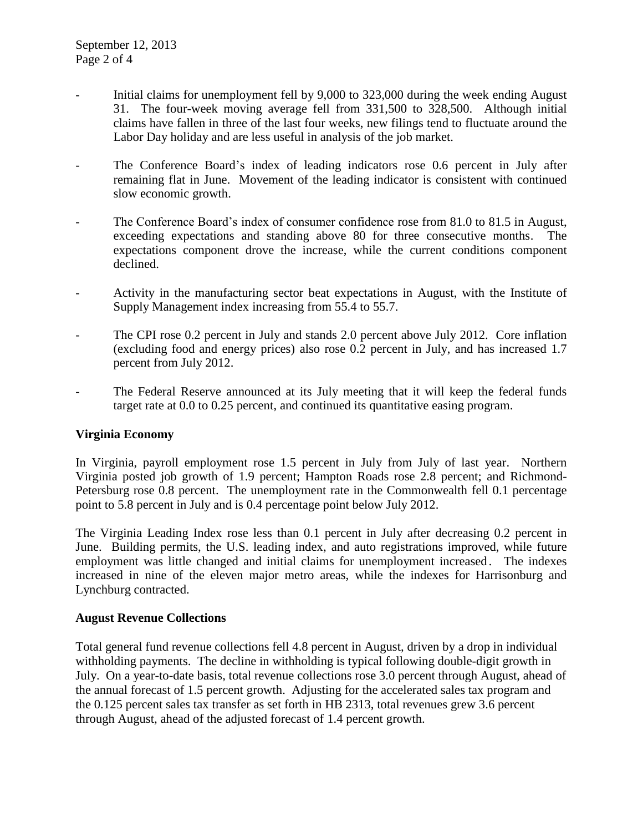- Initial claims for unemployment fell by 9,000 to 323,000 during the week ending August 31. The four-week moving average fell from 331,500 to 328,500. Although initial claims have fallen in three of the last four weeks, new filings tend to fluctuate around the Labor Day holiday and are less useful in analysis of the job market.
- The Conference Board's index of leading indicators rose 0.6 percent in July after remaining flat in June. Movement of the leading indicator is consistent with continued slow economic growth.
- The Conference Board's index of consumer confidence rose from 81.0 to 81.5 in August, exceeding expectations and standing above 80 for three consecutive months. The expectations component drove the increase, while the current conditions component declined.
- Activity in the manufacturing sector beat expectations in August, with the Institute of Supply Management index increasing from 55.4 to 55.7.
- The CPI rose 0.2 percent in July and stands 2.0 percent above July 2012. Core inflation (excluding food and energy prices) also rose 0.2 percent in July, and has increased 1.7 percent from July 2012.
- The Federal Reserve announced at its July meeting that it will keep the federal funds target rate at 0.0 to 0.25 percent, and continued its quantitative easing program.

### **Virginia Economy**

In Virginia, payroll employment rose 1.5 percent in July from July of last year. Northern Virginia posted job growth of 1.9 percent; Hampton Roads rose 2.8 percent; and Richmond-Petersburg rose 0.8 percent. The unemployment rate in the Commonwealth fell 0.1 percentage point to 5.8 percent in July and is 0.4 percentage point below July 2012.

The Virginia Leading Index rose less than 0.1 percent in July after decreasing 0.2 percent in June. Building permits, the U.S. leading index, and auto registrations improved, while future employment was little changed and initial claims for unemployment increased. The indexes increased in nine of the eleven major metro areas, while the indexes for Harrisonburg and Lynchburg contracted.

### **August Revenue Collections**

Total general fund revenue collections fell 4.8 percent in August, driven by a drop in individual withholding payments. The decline in withholding is typical following double-digit growth in July. On a year-to-date basis, total revenue collections rose 3.0 percent through August, ahead of the annual forecast of 1.5 percent growth. Adjusting for the accelerated sales tax program and the 0.125 percent sales tax transfer as set forth in HB 2313, total revenues grew 3.6 percent through August, ahead of the adjusted forecast of 1.4 percent growth.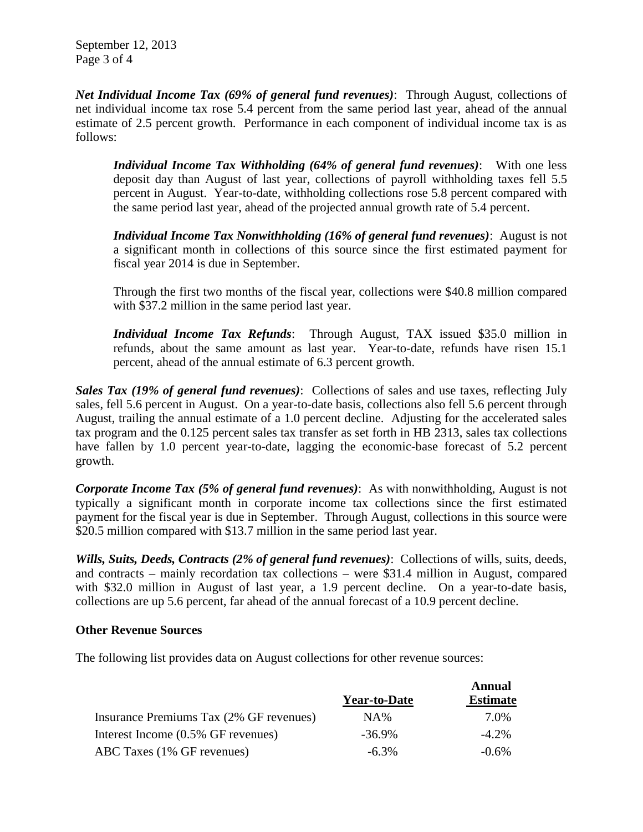September 12, 2013 Page 3 of 4

*Net Individual Income Tax (69% of general fund revenues)*: Through August, collections of net individual income tax rose 5.4 percent from the same period last year, ahead of the annual estimate of 2.5 percent growth. Performance in each component of individual income tax is as follows:

*Individual Income Tax Withholding (64% of general fund revenues)*: With one less deposit day than August of last year, collections of payroll withholding taxes fell 5.5 percent in August. Year-to-date, withholding collections rose 5.8 percent compared with the same period last year, ahead of the projected annual growth rate of 5.4 percent.

*Individual Income Tax Nonwithholding (16% of general fund revenues)*: August is not a significant month in collections of this source since the first estimated payment for fiscal year 2014 is due in September.

Through the first two months of the fiscal year, collections were \$40.8 million compared with \$37.2 million in the same period last year.

*Individual Income Tax Refunds*: Through August, TAX issued \$35.0 million in refunds, about the same amount as last year. Year-to-date, refunds have risen 15.1 percent, ahead of the annual estimate of 6.3 percent growth.

*Sales Tax (19% of general fund revenues)*: Collections of sales and use taxes, reflecting July sales, fell 5.6 percent in August. On a year-to-date basis, collections also fell 5.6 percent through August, trailing the annual estimate of a 1.0 percent decline. Adjusting for the accelerated sales tax program and the 0.125 percent sales tax transfer as set forth in HB 2313, sales tax collections have fallen by 1.0 percent year-to-date, lagging the economic-base forecast of 5.2 percent growth.

*Corporate Income Tax (5% of general fund revenues)*: As with nonwithholding, August is not typically a significant month in corporate income tax collections since the first estimated payment for the fiscal year is due in September. Through August, collections in this source were \$20.5 million compared with \$13.7 million in the same period last year.

*Wills, Suits, Deeds, Contracts (2% of general fund revenues)*: Collections of wills, suits, deeds, and contracts – mainly recordation tax collections – were \$31.4 million in August, compared with \$32.0 million in August of last year, a 1.9 percent decline. On a year-to-date basis, collections are up 5.6 percent, far ahead of the annual forecast of a 10.9 percent decline.

### **Other Revenue Sources**

The following list provides data on August collections for other revenue sources:

|                                         |                     | <b>Annual</b>   |
|-----------------------------------------|---------------------|-----------------|
|                                         | <b>Year-to-Date</b> | <b>Estimate</b> |
| Insurance Premiums Tax (2% GF revenues) | NA%                 | 7.0%            |
| Interest Income (0.5% GF revenues)      | $-36.9\%$           | $-4.2\%$        |
| ABC Taxes (1% GF revenues)              | $-6.3\%$            | $-0.6%$         |